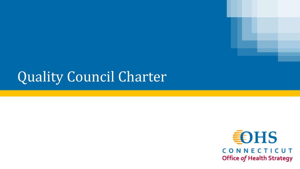## Quality Council Charter

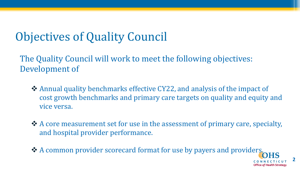## Objectives of Quality Council

The Quality Council will work to meet the following objectives: Development of

- ❖ Annual quality benchmarks effective CY22, and analysis of the impact of cost growth benchmarks and primary care targets on quality and equity and vice versa.
- ❖ A core measurement set for use in the assessment of primary care, specialty, and hospital provider performance.

❖ A common provider scorecard format for use by payers and providers.

**Office of Health Strategy**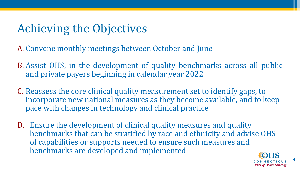## Achieving the Objectives

A. Convene monthly meetings between October and June

- B. Assist OHS, in the development of quality benchmarks across all public and private payers beginning in calendar year 2022
- C. Reassess the core clinical quality measurement set to identify gaps, to incorporate new national measures as they become available, and to keep pace with changes in technology and clinical practice
- D. Ensure the development of clinical quality measures and quality benchmarks that can be stratified by race and ethnicity and advise OHS of capabilities or supports needed to ensure such measures and benchmarks are developed and implemented



**3**